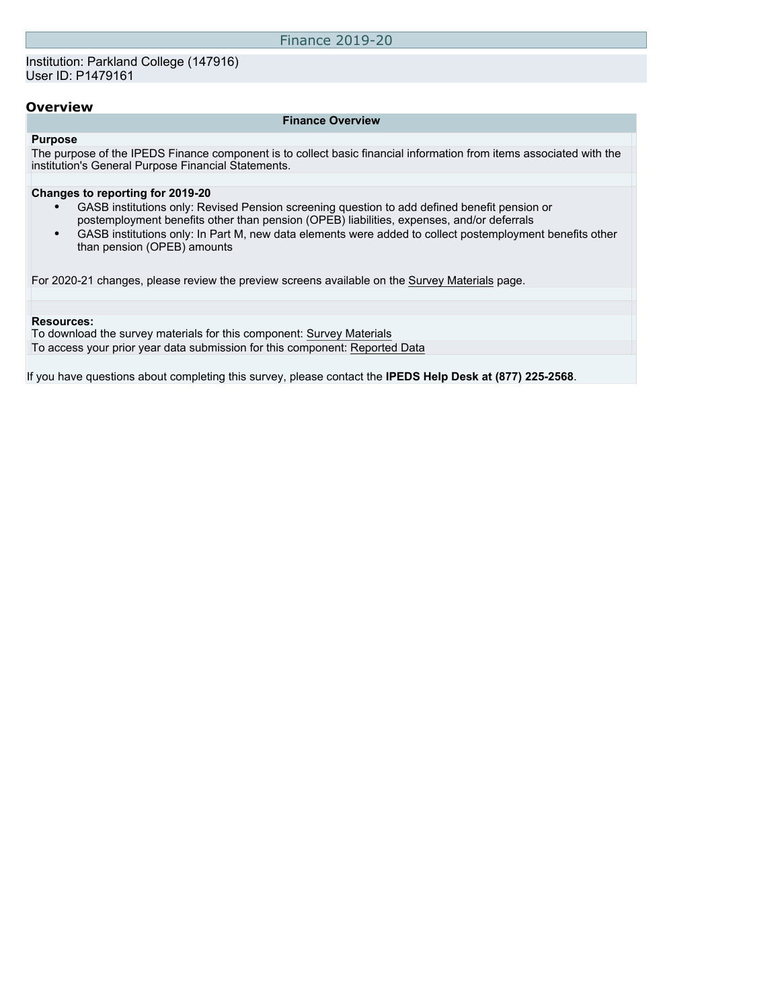Finance 2019-20

### **Overview**

#### **Finance Overview**

### **Purpose**

The purpose of the IPEDS Finance component is to collect basic financial information from items associated with the institution's General Purpose Financial Statements.

#### **Changes to reporting for 2019-20**

- GASB institutions only: Revised Pension screening question to add defined benefit pension or postemployment benefits other than pension (OPEB) liabilities, expenses, and/or deferrals
- GASB institutions only: In Part M, new data elements were added to collect postemployment benefits other than pension (OPEB) amounts

For 2020-21 changes, please review the preview screens available on the [Survey Materials](https://surveys.nces.ed.gov/ipeds/VisIndex.aspx) page.

#### **Resources:**

To download the survey materials for this component: [Survey Materials](https://surveys.nces.ed.gov/ipeds/VisIndex.aspx) To access your prior year data submission for this component: [Reported Data](http://192.168.102.89/ipeds/PriorYearDataRedirect.aspx?survey_id=5)

If you have questions about completing this survey, please contact the **IPEDS Help Desk at (877) 225-2568**.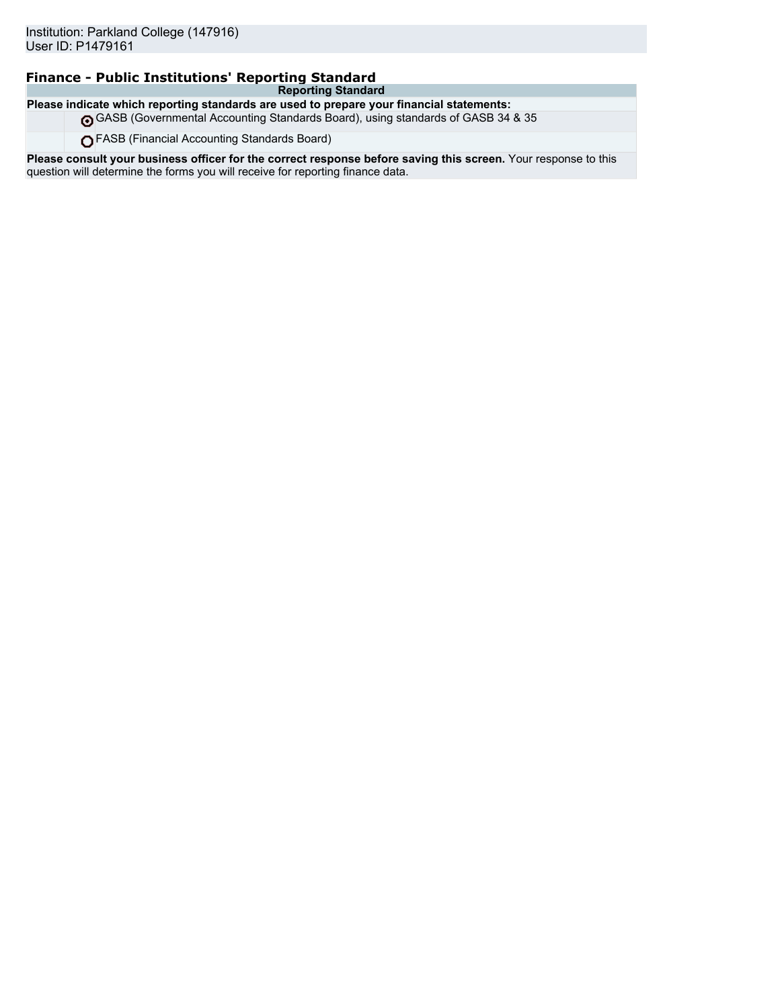## **Finance - Public Institutions' Reporting Standard**

**Reporting Standard Please indicate which reporting standards are used to prepare your financial statements:**

GASB (Governmental Accounting Standards Board), using standards of GASB 34 & 35

FASB (Financial Accounting Standards Board)

**Please consult your business officer for the correct response before saving this screen.** Your response to this question will determine the forms you will receive for reporting finance data.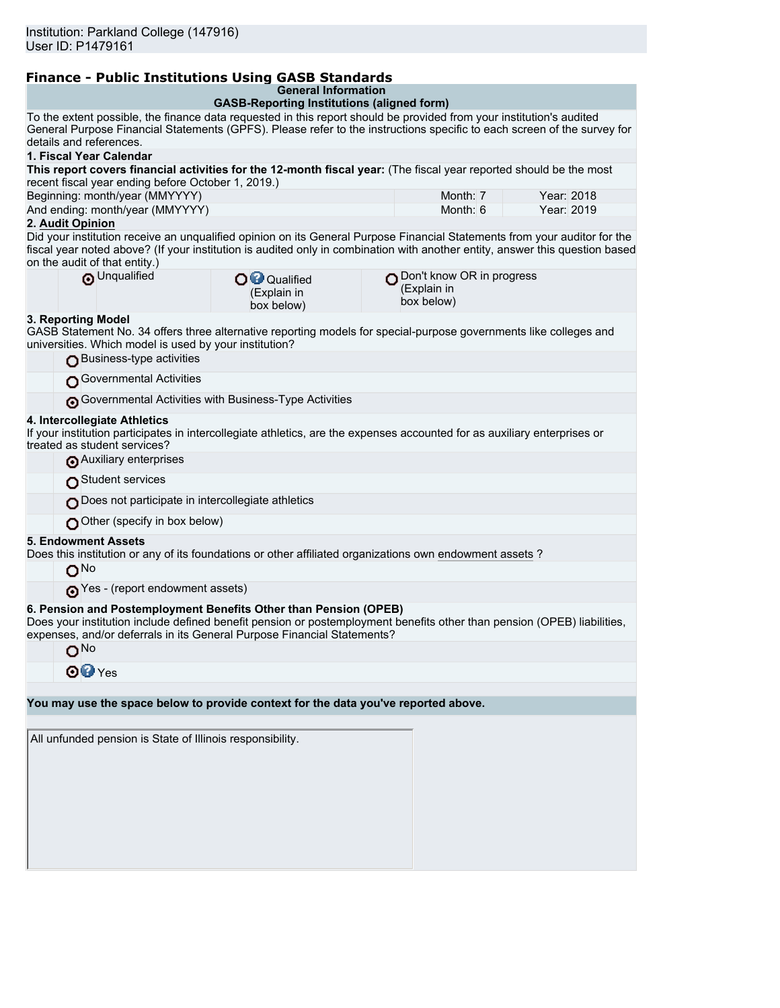# **Finance - Public Institutions Using GASB Standards**

**General Information**

|                                                                                                                                                                                                                                                                                            | General Information                                                                                                                                                                                                                                                                                  |          |            |  |  |  |
|--------------------------------------------------------------------------------------------------------------------------------------------------------------------------------------------------------------------------------------------------------------------------------------------|------------------------------------------------------------------------------------------------------------------------------------------------------------------------------------------------------------------------------------------------------------------------------------------------------|----------|------------|--|--|--|
| details and references.                                                                                                                                                                                                                                                                    | <b>GASB-Reporting Institutions (aligned form)</b><br>To the extent possible, the finance data requested in this report should be provided from your institution's audited<br>General Purpose Financial Statements (GPFS). Please refer to the instructions specific to each screen of the survey for |          |            |  |  |  |
| 1. Fiscal Year Calendar                                                                                                                                                                                                                                                                    |                                                                                                                                                                                                                                                                                                      |          |            |  |  |  |
| This report covers financial activities for the 12-month fiscal year: (The fiscal year reported should be the most<br>recent fiscal year ending before October 1, 2019.)                                                                                                                   |                                                                                                                                                                                                                                                                                                      |          |            |  |  |  |
| Beginning: month/year (MMYYYY)                                                                                                                                                                                                                                                             |                                                                                                                                                                                                                                                                                                      | Month: 7 | Year: 2018 |  |  |  |
| And ending: month/year (MMYYYY)                                                                                                                                                                                                                                                            |                                                                                                                                                                                                                                                                                                      | Month: 6 | Year: 2019 |  |  |  |
| 2. Audit Opinion                                                                                                                                                                                                                                                                           |                                                                                                                                                                                                                                                                                                      |          |            |  |  |  |
| Did your institution receive an unqualified opinion on its General Purpose Financial Statements from your auditor for the<br>fiscal year noted above? (If your institution is audited only in combination with another entity, answer this question based<br>on the audit of that entity.) |                                                                                                                                                                                                                                                                                                      |          |            |  |  |  |
| O Unqualified                                                                                                                                                                                                                                                                              | Don't know OR in progress<br>O <sup>O</sup> Qualified<br>(Explain in<br>(Explain in<br>box below)<br>box below)                                                                                                                                                                                      |          |            |  |  |  |
| 3. Reporting Model<br>GASB Statement No. 34 offers three alternative reporting models for special-purpose governments like colleges and<br>universities. Which model is used by your institution?                                                                                          |                                                                                                                                                                                                                                                                                                      |          |            |  |  |  |
| Business-type activities<br>Governmental Activities                                                                                                                                                                                                                                        |                                                                                                                                                                                                                                                                                                      |          |            |  |  |  |
|                                                                                                                                                                                                                                                                                            | Governmental Activities with Business-Type Activities                                                                                                                                                                                                                                                |          |            |  |  |  |
|                                                                                                                                                                                                                                                                                            |                                                                                                                                                                                                                                                                                                      |          |            |  |  |  |
| 4. Intercollegiate Athletics<br>If your institution participates in intercollegiate athletics, are the expenses accounted for as auxiliary enterprises or<br>treated as student services?                                                                                                  |                                                                                                                                                                                                                                                                                                      |          |            |  |  |  |
| Auxiliary enterprises                                                                                                                                                                                                                                                                      |                                                                                                                                                                                                                                                                                                      |          |            |  |  |  |
| Student services                                                                                                                                                                                                                                                                           |                                                                                                                                                                                                                                                                                                      |          |            |  |  |  |
| Does not participate in intercollegiate athletics                                                                                                                                                                                                                                          |                                                                                                                                                                                                                                                                                                      |          |            |  |  |  |
| Other (specify in box below)                                                                                                                                                                                                                                                               |                                                                                                                                                                                                                                                                                                      |          |            |  |  |  |
| <b>5. Endowment Assets</b><br>Does this institution or any of its foundations or other affiliated organizations own endowment assets?<br>O <sub>No</sub>                                                                                                                                   |                                                                                                                                                                                                                                                                                                      |          |            |  |  |  |
| Yes - (report endowment assets)                                                                                                                                                                                                                                                            |                                                                                                                                                                                                                                                                                                      |          |            |  |  |  |
| 6. Pension and Postemployment Benefits Other than Pension (OPEB)<br>Does your institution include defined benefit pension or postemployment benefits other than pension (OPEB) liabilities,<br>expenses, and/or deferrals in its General Purpose Financial Statements?                     |                                                                                                                                                                                                                                                                                                      |          |            |  |  |  |
| O <sub>No</sub>                                                                                                                                                                                                                                                                            |                                                                                                                                                                                                                                                                                                      |          |            |  |  |  |
| <b>⊙</b> <sup>⊙</sup> Yes                                                                                                                                                                                                                                                                  |                                                                                                                                                                                                                                                                                                      |          |            |  |  |  |
| You may use the space below to provide context for the data you've reported above.                                                                                                                                                                                                         |                                                                                                                                                                                                                                                                                                      |          |            |  |  |  |
|                                                                                                                                                                                                                                                                                            |                                                                                                                                                                                                                                                                                                      |          |            |  |  |  |
| All unfunded pension is State of Illinois responsibility.                                                                                                                                                                                                                                  |                                                                                                                                                                                                                                                                                                      |          |            |  |  |  |
|                                                                                                                                                                                                                                                                                            |                                                                                                                                                                                                                                                                                                      |          |            |  |  |  |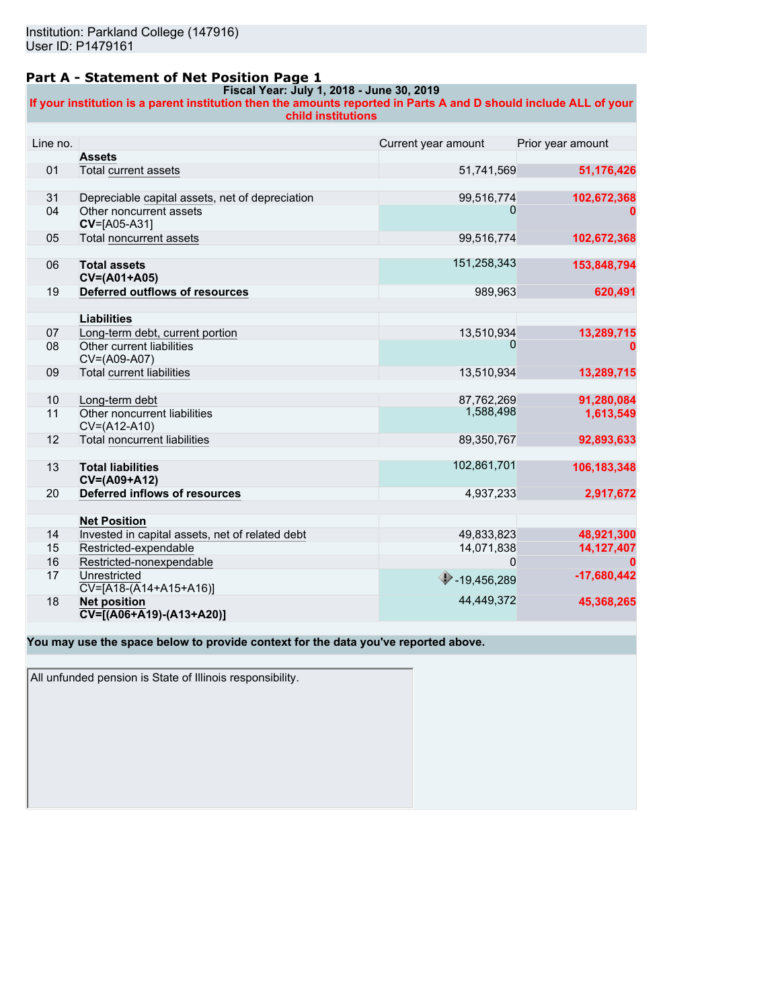### **Part A - Statement of Net Position Page 1**

#### **Fiscal Year: July 1, 2018 - June 30, 2019**

**If your institution is a parent institution then the amounts reported in Parts A and D should include ALL of your child institutions**

| Line no. |                                                                  | Current year amount               | Prior year amount |
|----------|------------------------------------------------------------------|-----------------------------------|-------------------|
|          | <b>Assets</b>                                                    |                                   |                   |
| 01       | Total current assets                                             | 51,741,569                        | 51,176,426        |
|          |                                                                  |                                   |                   |
| 31       | Depreciable capital assets, net of depreciation                  | 99,516,774                        | 102,672,368       |
| 04       | Other noncurrent assets<br>$CV=[A05-A31]$                        | 0                                 |                   |
| 05       | <b>Total noncurrent assets</b>                                   | 99,516,774                        | 102,672,368       |
|          |                                                                  |                                   |                   |
| 06       | <b>Total assets</b><br>CV=(A01+A05)                              | 151,258,343                       | 153,848,794       |
| 19       | Deferred outflows of resources                                   | 989,963                           | 620,491           |
|          |                                                                  |                                   |                   |
|          | <b>Liabilities</b>                                               |                                   |                   |
| 07       | Long-term debt, current portion                                  | 13,510,934                        | 13,289,715        |
| 08       | Other current liabilities<br>CV=(A09-A07)                        |                                   |                   |
| 09       | <b>Total current liabilities</b>                                 | 13,510,934                        | 13,289,715        |
|          |                                                                  |                                   |                   |
| 10       | Long-term debt                                                   | 87,762,269                        | 91,280,084        |
| 11       | Other noncurrent liabilities<br>CV=(A12-A10)                     | 1,588,498                         | 1,613,549         |
| 12       | <b>Total noncurrent liabilities</b>                              | 89,350,767                        | 92,893,633        |
|          |                                                                  |                                   |                   |
| 13       | <b>Total liabilities</b><br>CV=(A09+A12)                         | 102,861,701                       | 106,183,348       |
| 20       | Deferred inflows of resources                                    | 4,937,233                         | 2,917,672         |
|          |                                                                  |                                   |                   |
|          | <b>Net Position</b>                                              |                                   |                   |
| 14       | Invested in capital assets, net of related debt                  | 49,833,823                        | 48,921,300        |
| 15       | Restricted-expendable                                            | 14,071,838                        | 14,127,407        |
| 16       | Restricted-nonexpendable                                         | 0                                 | 0                 |
| 17       | Unrestricted<br>$CV=[A18-(A14+A15+A16)]$                         | $\blacktriangleright$ -19,456,289 | $-17,680,442$     |
| 18       | <b>Net position</b><br>$\overline{CV}$ = [(A06+A19) - (A13+A20)] | 44,449,372                        | 45,368,265        |

**You may use the space below to provide context for the data you've reported above.**

All unfunded pension is State of Illinois responsibility.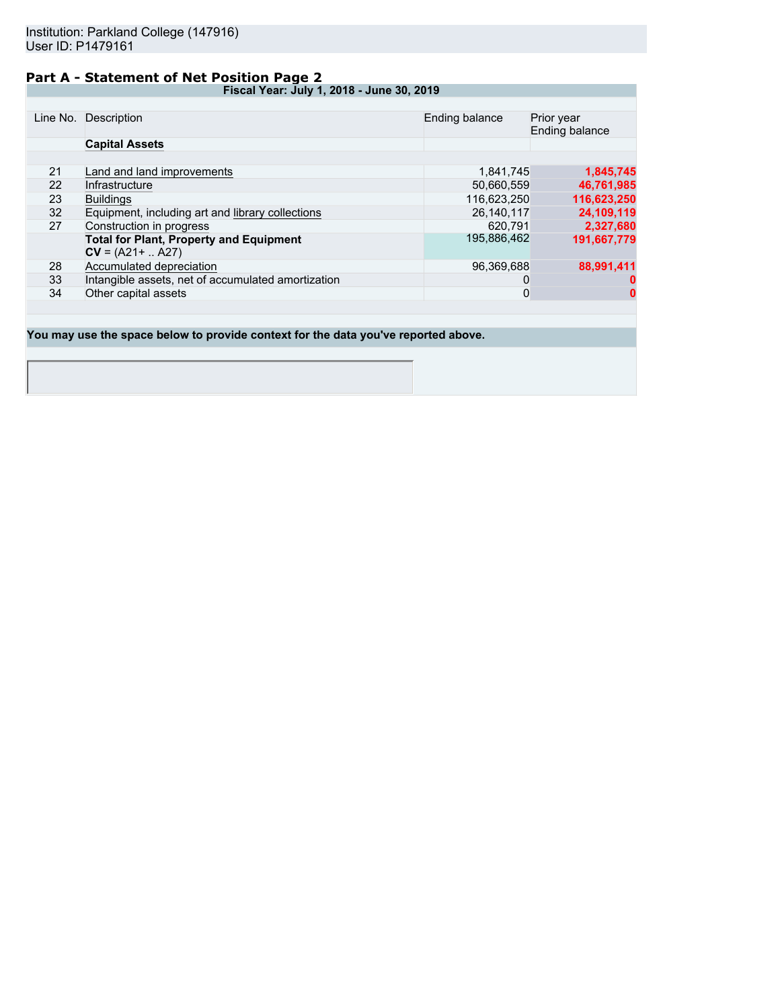### **Part A - Statement of Net Position Page 2**

**Fiscal Year: July 1, 2018 - June 30, 2019**

|    | Line No. Description                               | Ending balance | Prior year<br>Ending balance |
|----|----------------------------------------------------|----------------|------------------------------|
|    | <b>Capital Assets</b>                              |                |                              |
|    |                                                    |                |                              |
| 21 | Land and land improvements                         | 1.841.745      | 1,845,745                    |
| 22 | Infrastructure                                     | 50,660,559     | 46,761,985                   |
| 23 | <b>Buildings</b>                                   | 116,623,250    | 116,623,250                  |
| 32 | Equipment, including art and library collections   | 26.140.117     | 24,109,119                   |
| 27 | Construction in progress                           | 620.791        | 2,327,680                    |
|    | <b>Total for Plant, Property and Equipment</b>     | 195,886,462    | 191,667,779                  |
|    | $CV = (A21 +  A27)$                                |                |                              |
| 28 | Accumulated depreciation                           | 96,369,688     | 88,991,411                   |
| 33 | Intangible assets, net of accumulated amortization | O              |                              |
| 34 | Other capital assets                               | 0              | 0                            |
|    |                                                    |                |                              |

**You may use the space below to provide context for the data you've reported above.**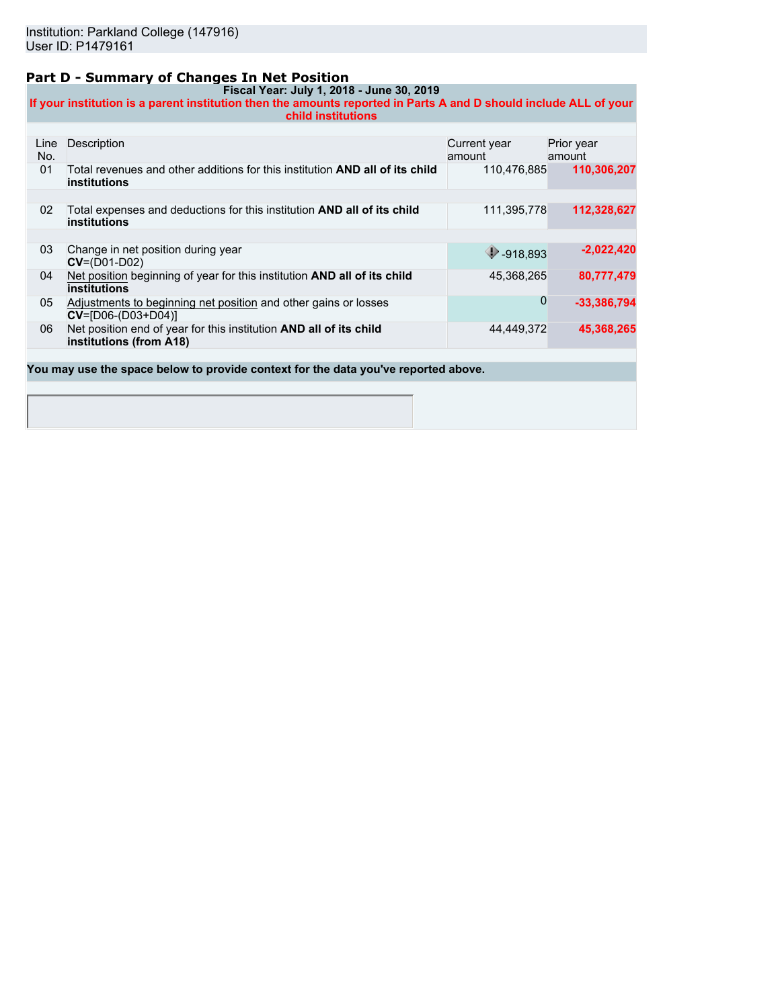### **Part D - Summary of Changes In Net Position**

**Fiscal Year: July 1, 2018 - June 30, 2019 If your institution is a parent institution then the amounts reported in Parts A and D should include ALL of your child institutions**

| Line<br>No. | Description                                                                                                | Current year<br>amount | Prior year<br>amount |
|-------------|------------------------------------------------------------------------------------------------------------|------------------------|----------------------|
| 01          | Total revenues and other additions for this institution <b>AND all of its child</b><br><b>institutions</b> | 110.476.885            | 110,306,207          |
|             |                                                                                                            |                        |                      |
| 02          | Total expenses and deductions for this institution <b>AND all of its child</b><br>institutions             | 111,395,778            | 112,328,627          |
|             |                                                                                                            |                        |                      |
| 03          | Change in net position during year<br>$CV=(D01-D02)$                                                       | 918,893                | $-2,022,420$         |
| 04          | Net position beginning of year for this institution AND all of its child<br>institutions                   | 45,368,265             | 80,777,479           |
| 05          | Adjustments to beginning net position and other gains or losses<br>$CV = [D06-(D03+D04)]$                  | 0                      | $-33,386,794$        |
| 06          | Net position end of year for this institution AND all of its child<br>institutions (from A18)              | 44,449,372             | 45,368,265           |
|             |                                                                                                            |                        |                      |
|             | You may use the space below to provide context for the data you've reported above.                         |                        |                      |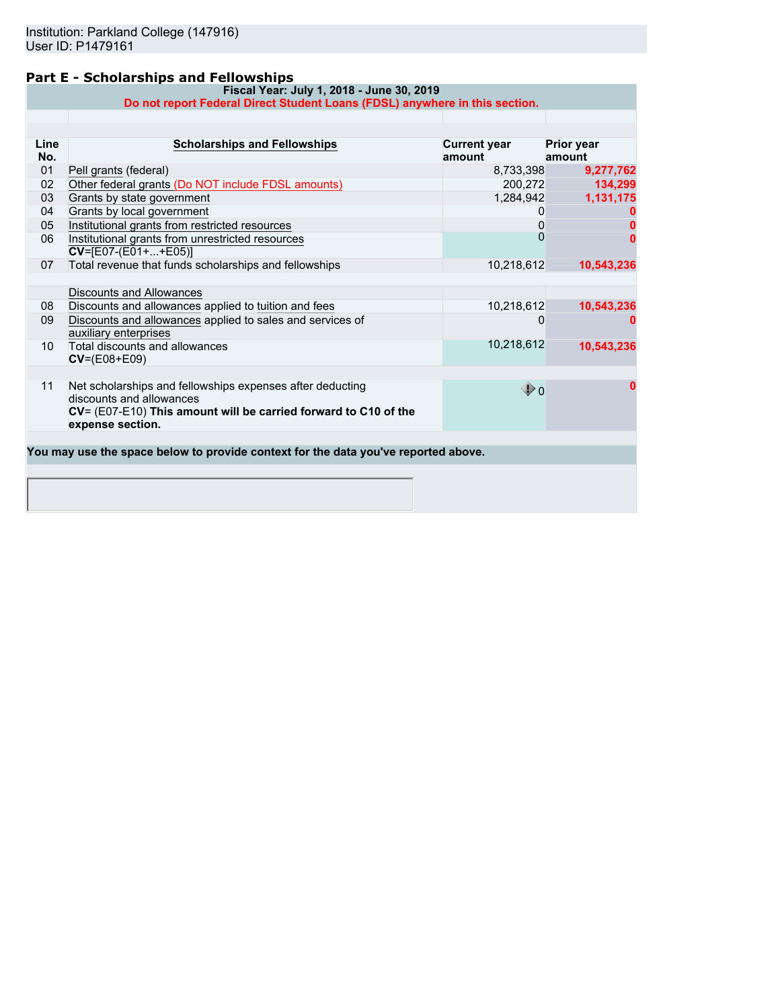### **Part E - Scholarships and Fellowships**

**Fiscal Year: July 1, 2018 - June 30, 2019 Do not report Federal Direct Student Loans (FDSL) anywhere in this section.**

| Line<br>No. | <b>Scholarships and Fellowships</b>                                                                                                                                          | <b>Current year</b><br>amount | <b>Prior year</b><br>amount |
|-------------|------------------------------------------------------------------------------------------------------------------------------------------------------------------------------|-------------------------------|-----------------------------|
| 01          | Pell grants (federal)                                                                                                                                                        | 8,733,398                     | 9,277,762                   |
| 02          | Other federal grants (Do NOT include FDSL amounts)                                                                                                                           | 200,272                       | 134,299                     |
| 03          | Grants by state government                                                                                                                                                   | 1,284,942                     | 1,131,175                   |
| 04          | Grants by local government                                                                                                                                                   | 0                             |                             |
| 05          | Institutional grants from restricted resources                                                                                                                               | 0                             |                             |
| 06          | Institutional grants from unrestricted resources<br>$CV=[E07-(E01++E05)]$                                                                                                    | $\Omega$                      |                             |
| 07          | Total revenue that funds scholarships and fellowships                                                                                                                        | 10,218,612                    | 10,543,236                  |
|             | Discounts and Allowances                                                                                                                                                     |                               |                             |
| 08          | Discounts and allowances applied to tuition and fees                                                                                                                         | 10,218,612                    | 10,543,236                  |
| 09          | Discounts and allowances applied to sales and services of<br>auxiliary enterprises                                                                                           | O                             |                             |
| 10          | Total discounts and allowances<br>$CV=(E08+E09)$                                                                                                                             | 10,218,612                    | 10,543,236                  |
| 11          | Net scholarships and fellowships expenses after deducting<br>discounts and allowances<br>CV= (E07-E10) This amount will be carried forward to C10 of the<br>expense section. | $\mathbf{\Phi}$ 0             |                             |
|             | You may use the space below to provide context for the data you've reported above.                                                                                           |                               |                             |
|             |                                                                                                                                                                              |                               |                             |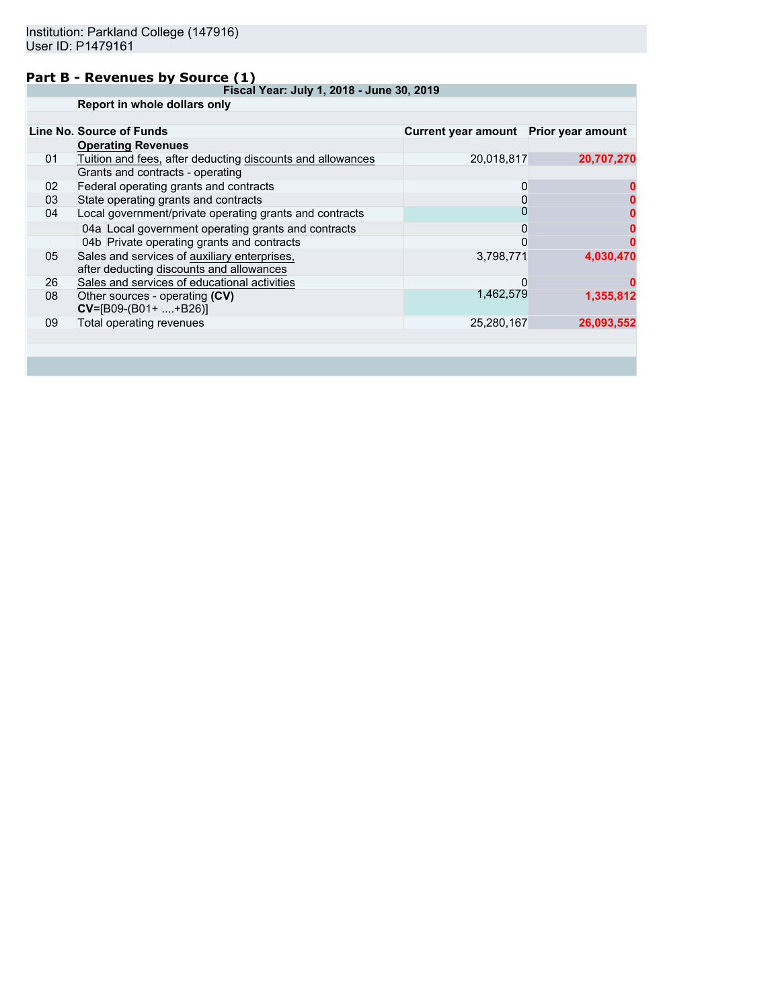### **Part B - Revenues by Source (1)**

**Fiscal Year: July 1, 2018 - June 30, 2019 Report in whole dollars only**

|    | Report in whole dollars only                                                             |                                       |            |
|----|------------------------------------------------------------------------------------------|---------------------------------------|------------|
|    |                                                                                          |                                       |            |
|    | Line No. Source of Funds                                                                 | Current year amount Prior year amount |            |
|    | <b>Operating Revenues</b>                                                                |                                       |            |
| 01 | Tuition and fees, after deducting discounts and allowances                               | 20,018,817                            | 20,707,270 |
|    | Grants and contracts - operating                                                         |                                       |            |
| 02 | Federal operating grants and contracts                                                   | 0                                     |            |
| 03 | State operating grants and contracts                                                     |                                       |            |
| 04 | Local government/private operating grants and contracts                                  |                                       |            |
|    | 04a Local government operating grants and contracts                                      | 0                                     |            |
|    | 04b Private operating grants and contracts                                               |                                       |            |
| 05 | Sales and services of auxiliary enterprises,<br>after deducting discounts and allowances | 3,798,771                             | 4,030,470  |
| 26 | Sales and services of educational activities                                             | $\Omega$                              |            |
| 08 | Other sources - operating (CV)<br>$CV=[B09-(B01+ +B26)]$                                 | 1,462,579                             | 1,355,812  |
| 09 | Total operating revenues                                                                 | 25,280,167                            | 26,093,552 |
|    |                                                                                          |                                       |            |
|    |                                                                                          |                                       |            |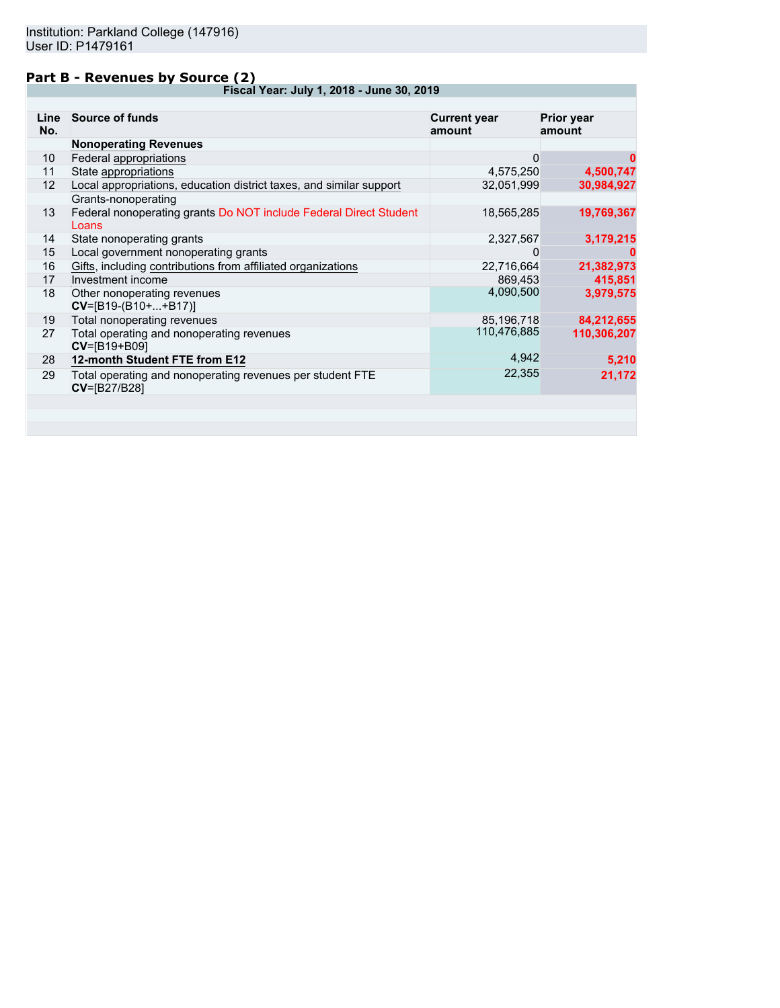### **Part B - Revenues by Source (2)**

**Fiscal Year: July 1, 2018 - June 30, 2019**

| Line<br>No. | <b>Source of funds</b>                                                           | <b>Current year</b><br>amount | <b>Prior year</b><br>amount |
|-------------|----------------------------------------------------------------------------------|-------------------------------|-----------------------------|
|             | <b>Nonoperating Revenues</b>                                                     |                               |                             |
| 10          | Federal appropriations                                                           | 0                             | 0                           |
| 11          | State appropriations                                                             | 4,575,250                     | 4,500,747                   |
| 12          | Local appropriations, education district taxes, and similar support              | 32,051,999                    | 30,984,927                  |
|             | Grants-nonoperating                                                              |                               |                             |
| 13          | Federal nonoperating grants Do NOT include Federal Direct Student<br>Loans       | 18,565,285                    | 19,769,367                  |
| 14          | State nonoperating grants                                                        | 2,327,567                     | 3,179,215                   |
| 15          | Local government nonoperating grants                                             | 0                             |                             |
| 16          | Gifts, including contributions from affiliated organizations                     | 22,716,664                    | 21,382,973                  |
| 17          | Investment income                                                                | 869,453                       | 415,851                     |
| 18          | Other nonoperating revenues<br>$CV=[B19-(B10++B17)]$                             | 4,090,500                     | 3,979,575                   |
| 19          | Total nonoperating revenues                                                      | 85,196,718                    | 84,212,655                  |
| 27          | Total operating and nonoperating revenues<br>CV=[B19+B09]                        | 110,476,885                   | 110,306,207                 |
| 28          | 12-month Student FTE from E12                                                    | 4,942                         | 5,210                       |
| 29          | Total operating and nonoperating revenues per student FTE<br><b>CV=[B27/B28]</b> | 22,355                        | 21,172                      |
|             |                                                                                  |                               |                             |
|             |                                                                                  |                               |                             |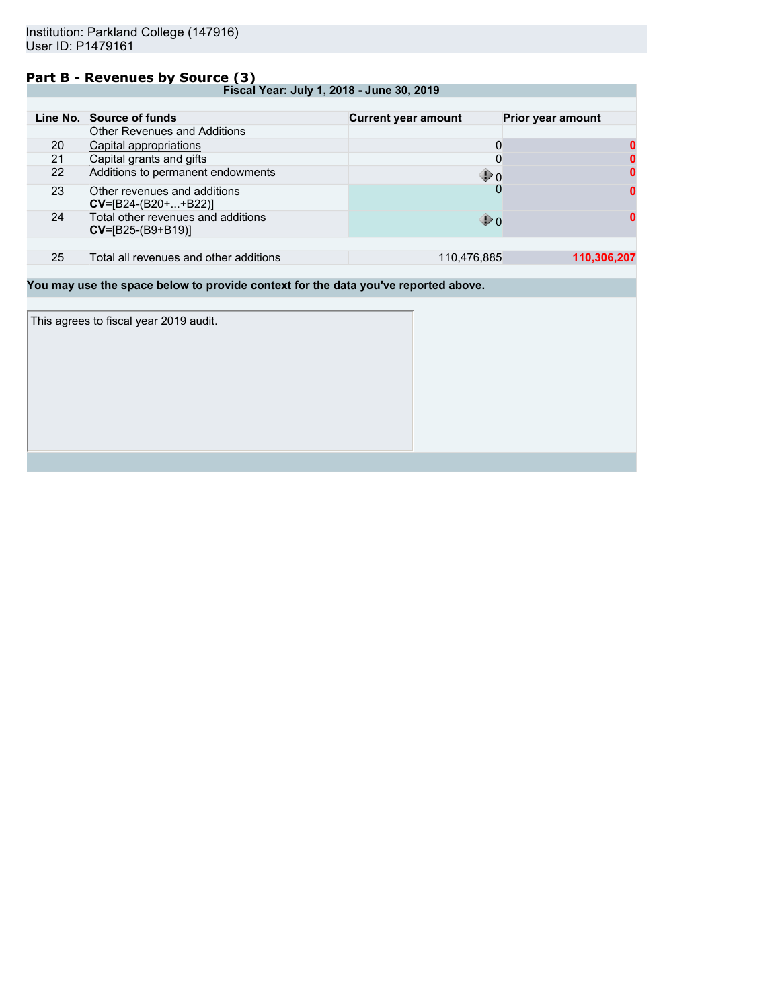### **Part B - Revenues by Source (3)**

**Fiscal Year: July 1, 2018 - June 30, 2019**

|    | Line No. Source of funds                                    | <b>Current year amount</b> | Prior year amount |
|----|-------------------------------------------------------------|----------------------------|-------------------|
|    | <b>Other Revenues and Additions</b>                         |                            |                   |
| 20 | Capital appropriations                                      | 0                          |                   |
| 21 | Capital grants and gifts                                    | 0                          |                   |
| 22 | Additions to permanent endowments                           | $\mathbf{\Phi}$ 0          |                   |
| 23 | Other revenues and additions<br>$CV=[B24-(B20++B22)]$       |                            | <sup>0</sup>      |
| 24 | Total other revenues and additions<br>$CV = [B25-(B9+B19)]$ | ⊕ o                        |                   |
|    |                                                             |                            |                   |
| 25 | Total all revenues and other additions                      | 110,476,885                | 110.306.207       |

**You may use the space below to provide context for the data you've reported above.**

This agrees to fiscal year 2019 audit.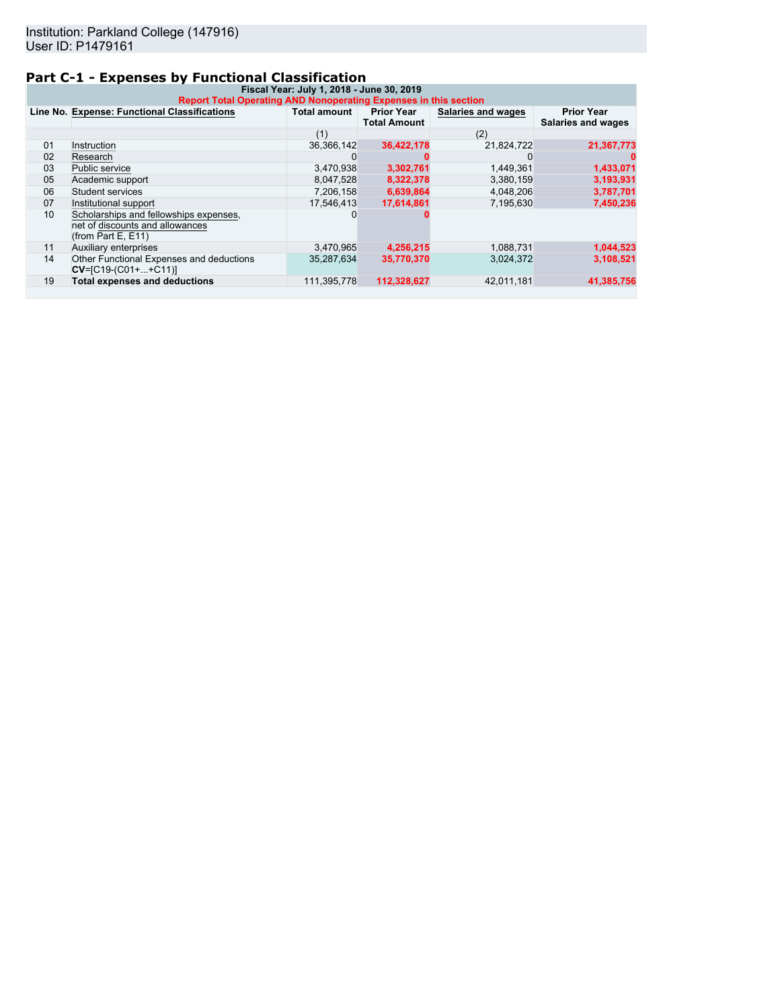# **Part C-1 - Expenses by Functional Classification**

| Fiscal Year: July 1, 2018 - June 30, 2019<br><b>Report Total Operating AND Nonoperating Expenses in this section</b> |                                                                                                    |              |                                          |                    |                                         |
|----------------------------------------------------------------------------------------------------------------------|----------------------------------------------------------------------------------------------------|--------------|------------------------------------------|--------------------|-----------------------------------------|
|                                                                                                                      | Line No. Expense: Functional Classifications                                                       | Total amount | <b>Prior Year</b><br><b>Total Amount</b> | Salaries and wages | <b>Prior Year</b><br>Salaries and wages |
|                                                                                                                      |                                                                                                    | (1)          |                                          | (2)                |                                         |
| 01                                                                                                                   | Instruction                                                                                        | 36,366,142   | 36,422,178                               | 21,824,722         | 21,367,773                              |
| 02                                                                                                                   | Research                                                                                           |              |                                          |                    |                                         |
| 03                                                                                                                   | Public service                                                                                     | 3,470,938    | 3,302,761                                | 1,449,361          | 1,433,071                               |
| 05                                                                                                                   | Academic support                                                                                   | 8.047.528    | 8,322,378                                | 3,380,159          | 3,193,931                               |
| 06                                                                                                                   | Student services                                                                                   | 7.206.158    | 6.639.864                                | 4.048.206          | 3,787,701                               |
| 07                                                                                                                   | Institutional support                                                                              | 17.546.413   | 17,614,861                               | 7,195,630          | 7,450,236                               |
| 10                                                                                                                   | Scholarships and fellowships expenses.<br>net of discounts and allowances<br>(from Part E, $E$ 11) |              |                                          |                    |                                         |
| 11                                                                                                                   | Auxiliary enterprises                                                                              | 3,470,965    | 4,256,215                                | 1,088,731          | 1,044,523                               |
| 14                                                                                                                   | Other Functional Expenses and deductions<br>$CV=[C19-(C01++C11)]$                                  | 35,287,634   | 35,770,370                               | 3,024,372          | 3,108,521                               |
| 19                                                                                                                   | <b>Total expenses and deductions</b>                                                               | 111,395,778  | 112.328.627                              | 42,011,181         | 41,385,756                              |
|                                                                                                                      |                                                                                                    |              |                                          |                    |                                         |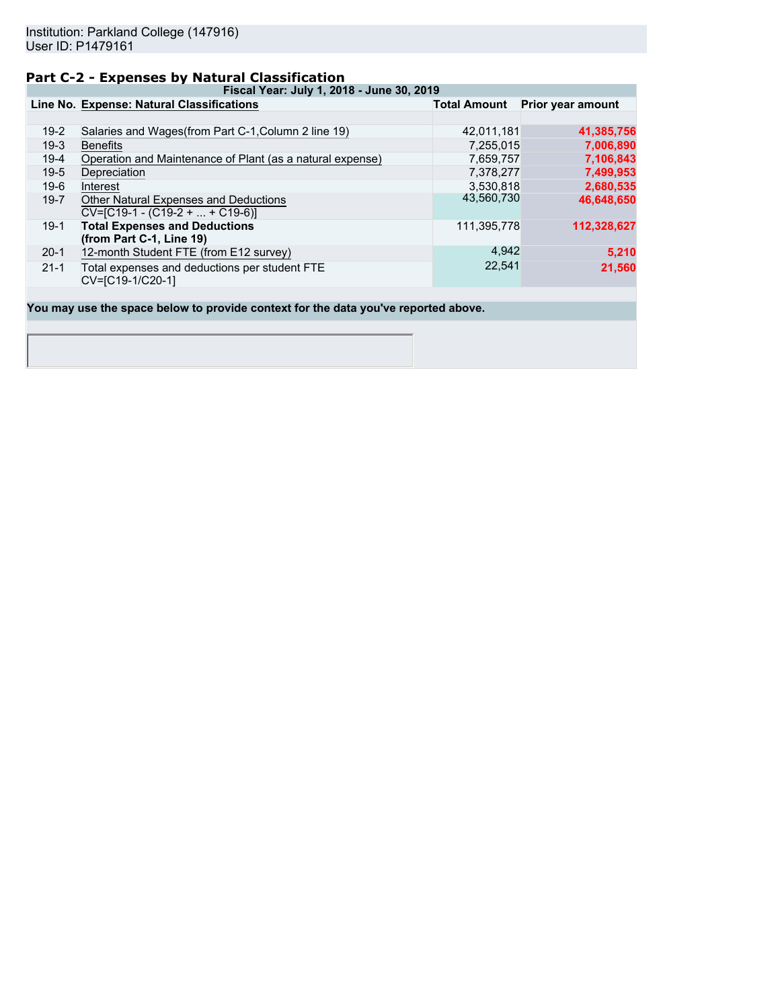### **Part C-2 - Expenses by Natural Classification**

**Fiscal Year: July 1, 2018 - June 30, 2019**

|          | Line No. Expense: Natural Classifications                                  | <b>Total Amount</b> | Prior year amount |
|----------|----------------------------------------------------------------------------|---------------------|-------------------|
|          |                                                                            |                     |                   |
| $19-2$   | Salaries and Wages(from Part C-1, Column 2 line 19)                        | 42,011,181          | 41,385,756        |
| $19-3$   | <b>Benefits</b>                                                            | 7,255,015           | 7,006,890         |
| $19-4$   | Operation and Maintenance of Plant (as a natural expense)                  | 7,659,757           | 7,106,843         |
| $19-5$   | Depreciation                                                               | 7,378,277           | 7,499,953         |
| $19-6$   | Interest                                                                   | 3,530,818           | 2,680,535         |
| $19 - 7$ | Other Natural Expenses and Deductions<br>$CV=[C19-1 - (C19-2 +  + C19-6)]$ | 43,560,730          | 46,648,650        |
| $19-1$   | <b>Total Expenses and Deductions</b><br>(from Part C-1, Line 19)           | 111,395,778         | 112,328,627       |
| $20-1$   | 12-month Student FTE (from E12 survey)                                     | 4,942               | 5,210             |
| $21 - 1$ | Total expenses and deductions per student FTE<br>CV=[C19-1/C20-1]          | 22,541              | 21,560            |

**You may use the space below to provide context for the data you've reported above.**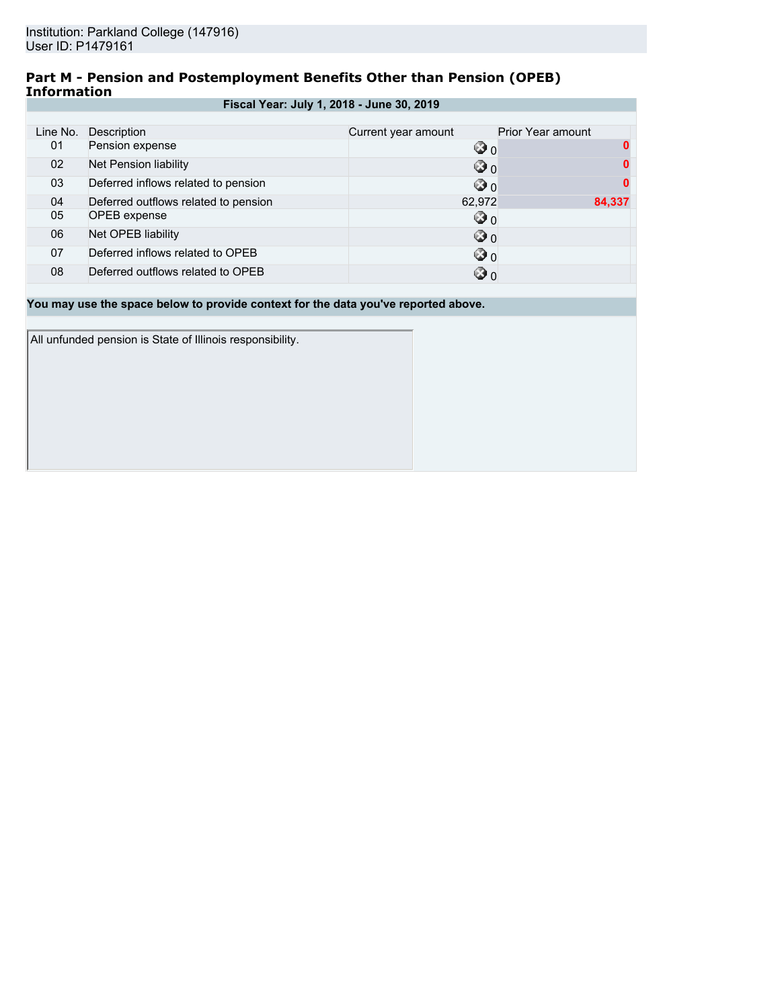### **Part M - Pension and Postemployment Benefits Other than Pension (OPEB) Information**

|  |  |  | Fiscal Year: July 1, 2018 - June 30, 2019 |
|--|--|--|-------------------------------------------|
|--|--|--|-------------------------------------------|

| Line No. | Description                          | Current year amount | Prior Year amount |
|----------|--------------------------------------|---------------------|-------------------|
| 01       | Pension expense                      | $\circledcirc$ o    |                   |
| 02       | Net Pension liability                | ⊙ 0                 |                   |
| 03       | Deferred inflows related to pension  | ☺ ი                 |                   |
| 04       | Deferred outflows related to pension | 62,972              | 84,337            |
| 05       | <b>OPEB</b> expense                  | ☺ ٥                 |                   |
| 06       | Net OPEB liability                   | ⊙ 0                 |                   |
| 07       | Deferred inflows related to OPEB     | ☺ ი                 |                   |
| 08       | Deferred outflows related to OPEB    | ☺ ი                 |                   |

**You may use the space below to provide context for the data you've reported above.**

All unfunded pension is State of Illinois responsibility.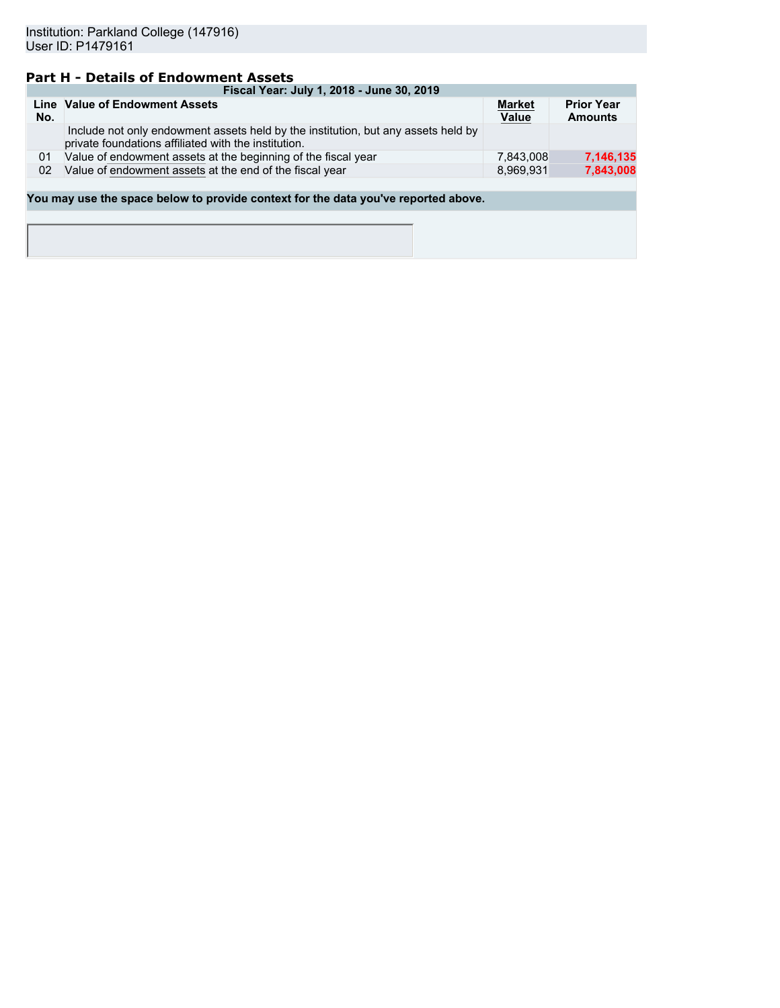## **Part H - Details of Endowment Assets**

|     | Fiscal Year: July 1, 2018 - June 30, 2019                                                                                                 |                               |                                     |  |  |  |  |
|-----|-------------------------------------------------------------------------------------------------------------------------------------------|-------------------------------|-------------------------------------|--|--|--|--|
| No. | Line Value of Endowment Assets                                                                                                            | <b>Market</b><br><b>Value</b> | <b>Prior Year</b><br><b>Amounts</b> |  |  |  |  |
|     | Include not only endowment assets held by the institution, but any assets held by<br>private foundations affiliated with the institution. |                               |                                     |  |  |  |  |
| 01  | Value of endowment assets at the beginning of the fiscal year                                                                             | 7.843.008                     | 7,146,135                           |  |  |  |  |
| 02  | Value of endowment assets at the end of the fiscal year                                                                                   | 8.969.931                     | 7,843,008                           |  |  |  |  |
|     |                                                                                                                                           |                               |                                     |  |  |  |  |

**You may use the space below to provide context for the data you've reported above.**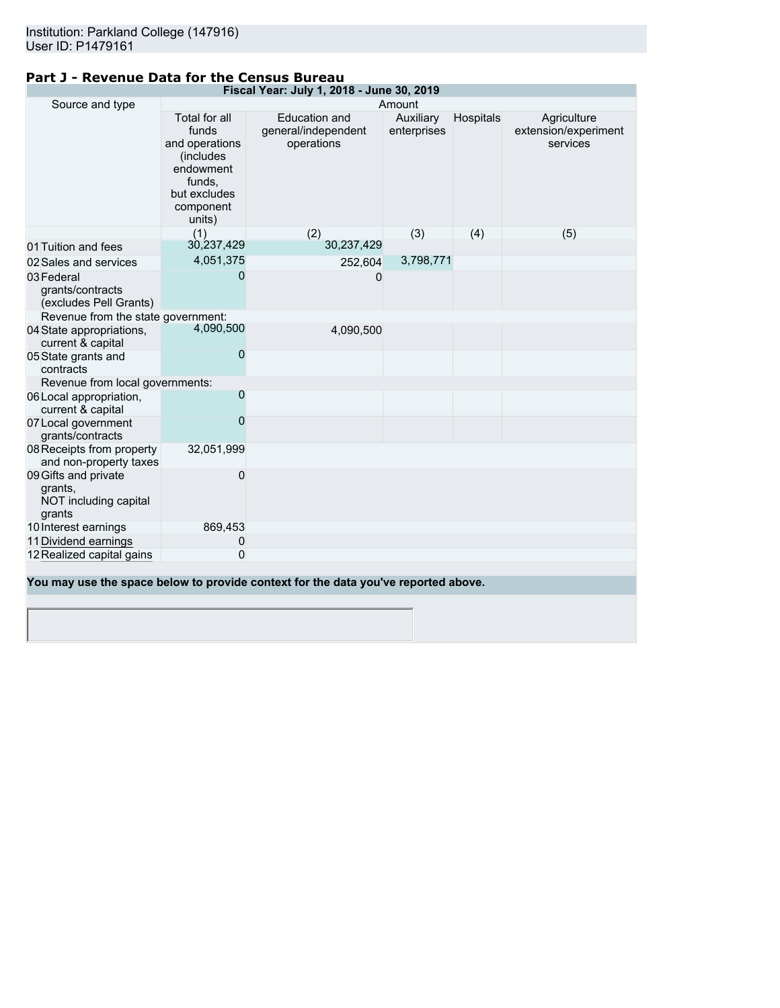| Fiscal Year: July 1, 2018 - June 30, 2019                          |                                                                                                                             |                                                                                    |                          |           |                                                 |
|--------------------------------------------------------------------|-----------------------------------------------------------------------------------------------------------------------------|------------------------------------------------------------------------------------|--------------------------|-----------|-------------------------------------------------|
| Source and type                                                    |                                                                                                                             |                                                                                    | Amount                   |           |                                                 |
|                                                                    | Total for all<br>funds<br>and operations<br><i>(includes)</i><br>endowment<br>funds,<br>but excludes<br>component<br>units) | <b>Education and</b><br>general/independent<br>operations                          | Auxiliary<br>enterprises | Hospitals | Agriculture<br>extension/experiment<br>services |
|                                                                    | (1)                                                                                                                         | (2)                                                                                | (3)                      | (4)       | (5)                                             |
| 01 Tuition and fees                                                | 30,237,429                                                                                                                  | 30,237,429                                                                         |                          |           |                                                 |
| 02 Sales and services                                              | 4,051,375                                                                                                                   | 252,604                                                                            | 3,798,771                |           |                                                 |
| 03 Federal<br>grants/contracts<br>(excludes Pell Grants)           | 0                                                                                                                           | 0                                                                                  |                          |           |                                                 |
| Revenue from the state government:                                 |                                                                                                                             |                                                                                    |                          |           |                                                 |
| 04 State appropriations,<br>current & capital                      | 4,090,500                                                                                                                   | 4,090,500                                                                          |                          |           |                                                 |
| 05 State grants and<br>contracts                                   | 0                                                                                                                           |                                                                                    |                          |           |                                                 |
| Revenue from local governments:                                    |                                                                                                                             |                                                                                    |                          |           |                                                 |
| 06 Local appropriation,<br>current & capital                       | 0                                                                                                                           |                                                                                    |                          |           |                                                 |
| 07 Local government<br>grants/contracts                            | 0                                                                                                                           |                                                                                    |                          |           |                                                 |
| 08 Receipts from property<br>and non-property taxes                | 32,051,999                                                                                                                  |                                                                                    |                          |           |                                                 |
| 09 Gifts and private<br>grants,<br>NOT including capital<br>grants | 0                                                                                                                           |                                                                                    |                          |           |                                                 |
| 10 Interest earnings                                               | 869,453                                                                                                                     |                                                                                    |                          |           |                                                 |
| 11 Dividend earnings                                               | 0                                                                                                                           |                                                                                    |                          |           |                                                 |
| 12 Realized capital gains                                          | 0                                                                                                                           |                                                                                    |                          |           |                                                 |
|                                                                    |                                                                                                                             | You may use the space below to provide context for the data you've reported above. |                          |           |                                                 |

### **Part J - Revenue Data for the Census Bureau**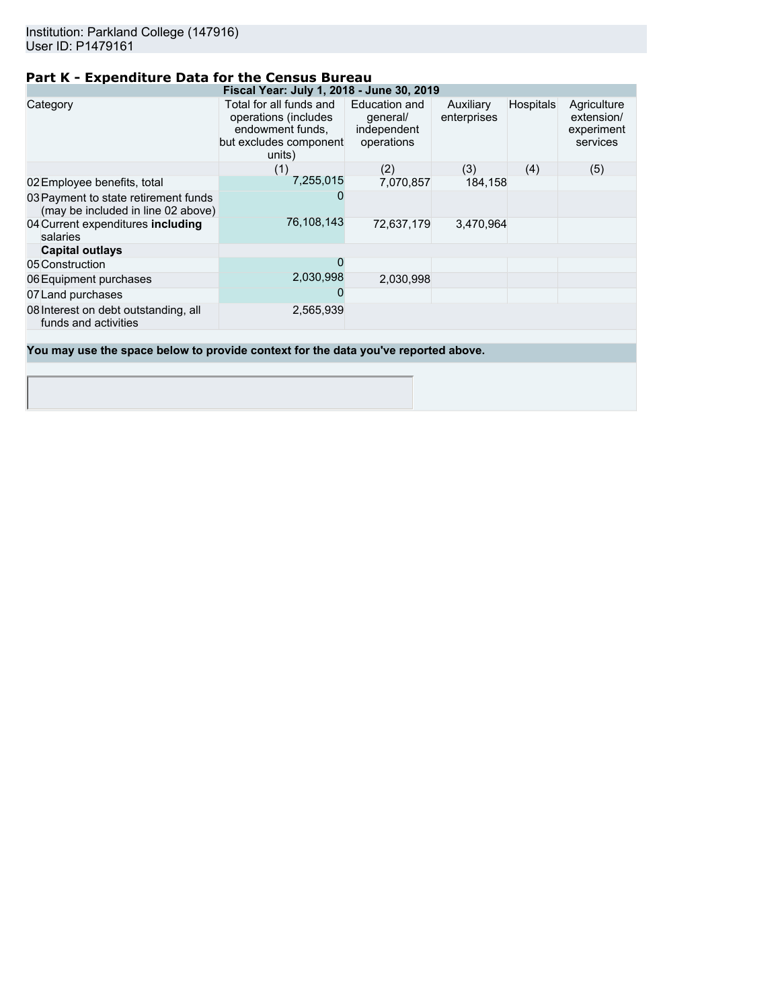## **Part K - Expenditure Data for the Census Bureau**

| Fiscal Year: July 1, 2018 - June 30, 2019                                          |                                                                                                         |                                                        |                          |                  |                                                     |  |  |
|------------------------------------------------------------------------------------|---------------------------------------------------------------------------------------------------------|--------------------------------------------------------|--------------------------|------------------|-----------------------------------------------------|--|--|
| Category                                                                           | Total for all funds and<br>operations (includes<br>endowment funds,<br>but excludes component<br>units) | Education and<br>general/<br>independent<br>operations | Auxiliary<br>enterprises | <b>Hospitals</b> | Agriculture<br>extension/<br>experiment<br>services |  |  |
|                                                                                    | (1)                                                                                                     | (2)                                                    | (3)                      | (4)              | (5)                                                 |  |  |
| 02 Employee benefits, total                                                        | 7,255,015                                                                                               | 7,070,857                                              | 184,158                  |                  |                                                     |  |  |
| 03 Payment to state retirement funds<br>(may be included in line 02 above)         |                                                                                                         |                                                        |                          |                  |                                                     |  |  |
| 04 Current expenditures including<br>salaries                                      | 76,108,143                                                                                              | 72,637,179                                             | 3,470,964                |                  |                                                     |  |  |
| <b>Capital outlays</b>                                                             |                                                                                                         |                                                        |                          |                  |                                                     |  |  |
| 05 Construction                                                                    | 0                                                                                                       |                                                        |                          |                  |                                                     |  |  |
| 06 Equipment purchases                                                             | 2,030,998                                                                                               | 2,030,998                                              |                          |                  |                                                     |  |  |
| 07 Land purchases                                                                  |                                                                                                         |                                                        |                          |                  |                                                     |  |  |
| 08 Interest on debt outstanding, all<br>funds and activities                       | 2,565,939                                                                                               |                                                        |                          |                  |                                                     |  |  |
|                                                                                    |                                                                                                         |                                                        |                          |                  |                                                     |  |  |
| You may use the space below to provide context for the data you've reported above. |                                                                                                         |                                                        |                          |                  |                                                     |  |  |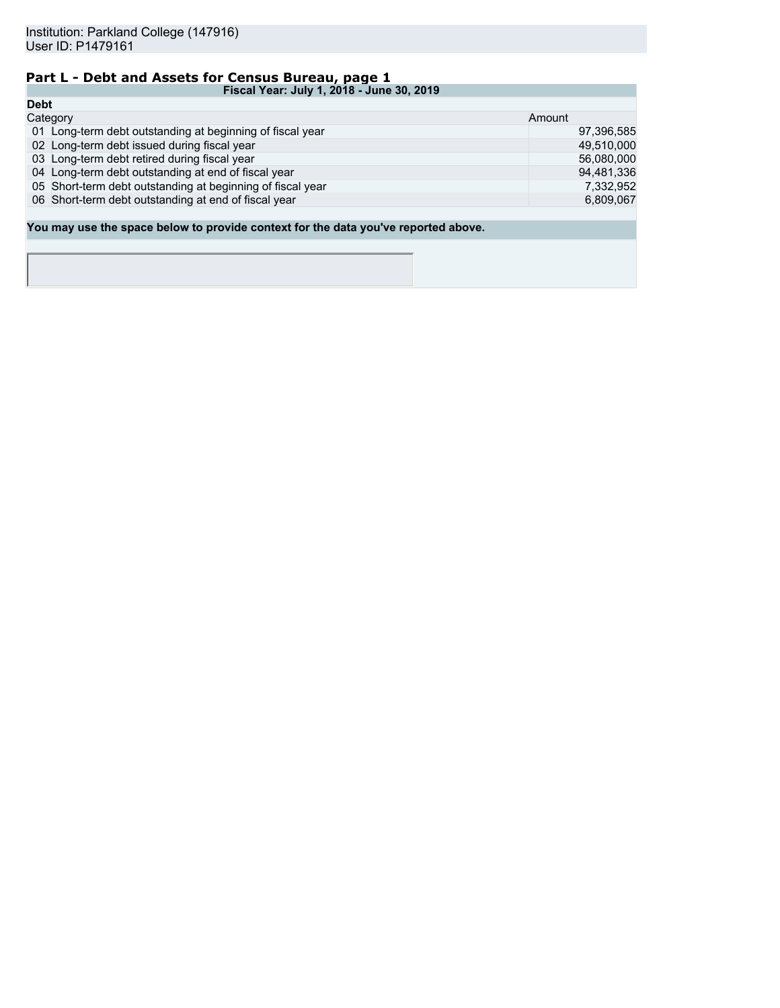# **Part L - Debt and Assets for Census Bureau, page 1**

| Fiscal Year: July 1, 2018 - June 30, 2019                                          |            |
|------------------------------------------------------------------------------------|------------|
| <b>Debt</b>                                                                        |            |
| Category                                                                           | Amount     |
| 01 Long-term debt outstanding at beginning of fiscal year                          | 97,396,585 |
| 02 Long-term debt issued during fiscal year                                        | 49,510,000 |
| 03 Long-term debt retired during fiscal year                                       | 56,080,000 |
| 04 Long-term debt outstanding at end of fiscal year                                | 94,481,336 |
| 05 Short-term debt outstanding at beginning of fiscal year                         | 7.332.952  |
| 06 Short-term debt outstanding at end of fiscal year                               | 6,809,067  |
|                                                                                    |            |
| You may use the space below to provide context for the data you've reported above. |            |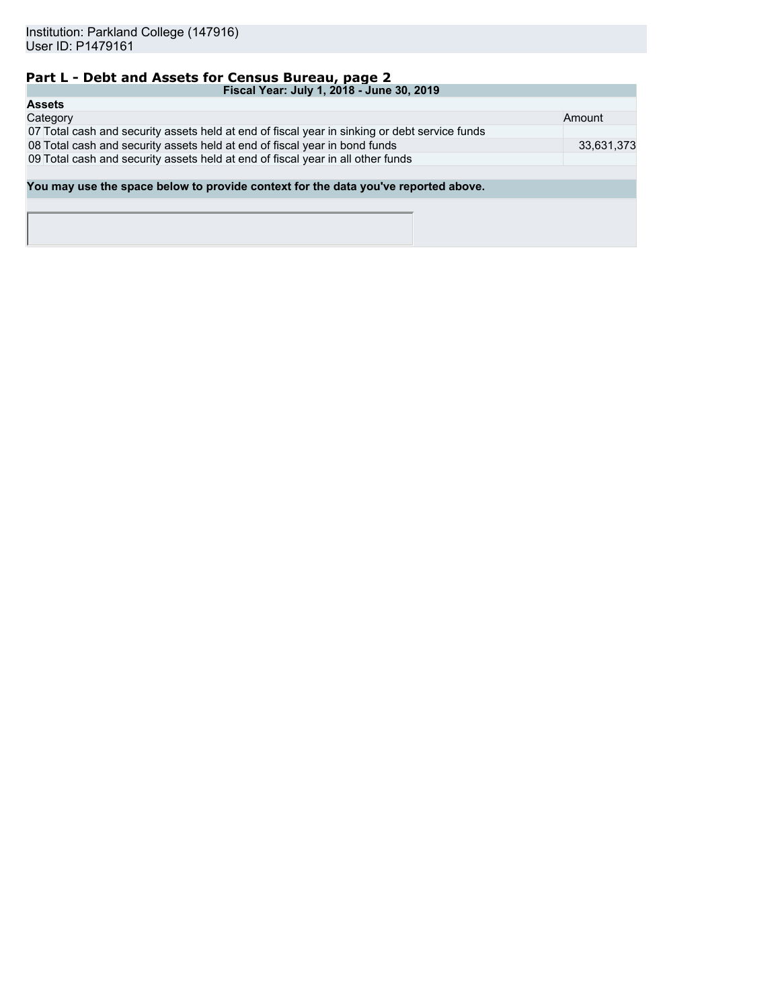# **Part L - Debt and Assets for Census Bureau, page 2**

| Fiscal Year: July 1, 2018 - June 30, 2019                                                     |            |  |  |  |
|-----------------------------------------------------------------------------------------------|------------|--|--|--|
| <b>Assets</b>                                                                                 |            |  |  |  |
| Category                                                                                      | Amount     |  |  |  |
| 07 Total cash and security assets held at end of fiscal year in sinking or debt service funds |            |  |  |  |
| 08 Total cash and security assets held at end of fiscal year in bond funds                    | 33,631,373 |  |  |  |
| 09 Total cash and security assets held at end of fiscal year in all other funds               |            |  |  |  |
|                                                                                               |            |  |  |  |
| You may use the space below to provide context for the data you've reported above.            |            |  |  |  |
|                                                                                               |            |  |  |  |
|                                                                                               |            |  |  |  |
|                                                                                               |            |  |  |  |
|                                                                                               |            |  |  |  |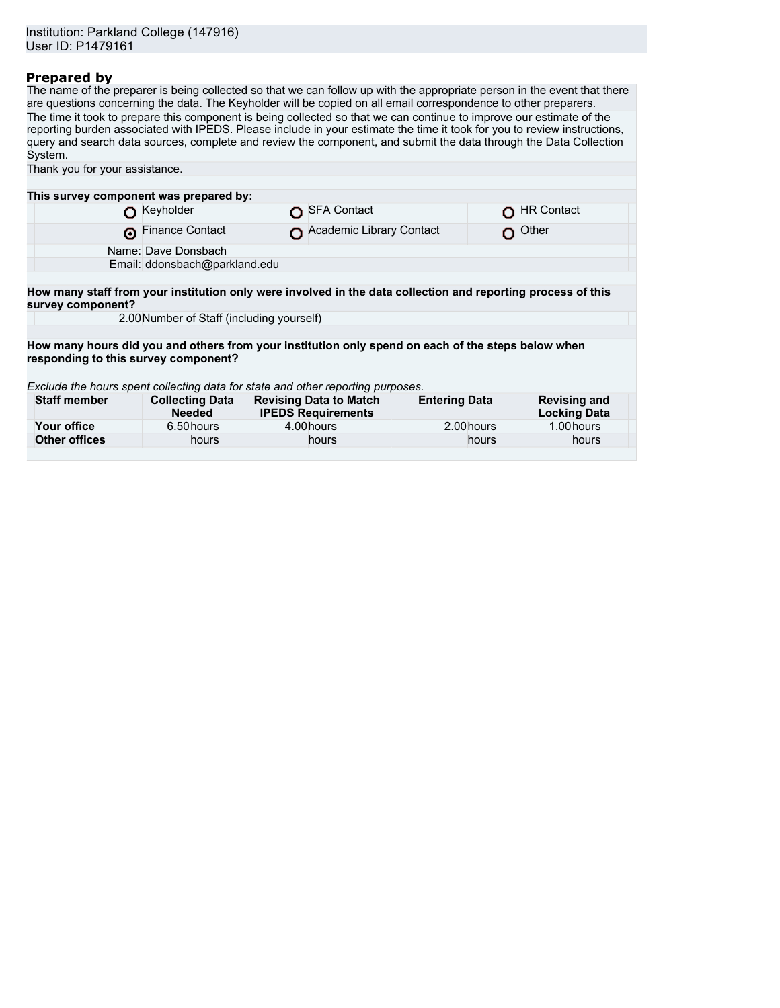### **Prepared by**

The name of the preparer is being collected so that we can follow up with the appropriate person in the event that there are questions concerning the data. The Keyholder will be copied on all email correspondence to other preparers. The time it took to prepare this component is being collected so that we can continue to improve our estimate of the reporting burden associated with IPEDS. Please include in your estimate the time it took for you to review instructions, query and search data sources, complete and review the component, and submit the data through the Data Collection System.

| Thank you for your assistance.            |                                         |                                                                                                              |                      |                                            |  |  |
|-------------------------------------------|-----------------------------------------|--------------------------------------------------------------------------------------------------------------|----------------------|--------------------------------------------|--|--|
|                                           |                                         |                                                                                                              |                      |                                            |  |  |
| This survey component was prepared by:    |                                         |                                                                                                              |                      |                                            |  |  |
|                                           | Keyholder                               | <b>SFA Contact</b>                                                                                           |                      | <b>HR Contact</b>                          |  |  |
| െ                                         | <b>Finance Contact</b>                  | Academic Library Contact                                                                                     |                      | Other                                      |  |  |
|                                           | Name: Dave Donsbach                     |                                                                                                              |                      |                                            |  |  |
|                                           | Email: ddonsbach@parkland.edu           |                                                                                                              |                      |                                            |  |  |
|                                           |                                         |                                                                                                              |                      |                                            |  |  |
| survey component?                         |                                         | How many staff from your institution only were involved in the data collection and reporting process of this |                      |                                            |  |  |
| 2.00 Number of Staff (including yourself) |                                         |                                                                                                              |                      |                                            |  |  |
|                                           |                                         |                                                                                                              |                      |                                            |  |  |
|                                           |                                         | How many hours did you and others from your institution only spend on each of the steps below when           |                      |                                            |  |  |
| responding to this survey component?      |                                         |                                                                                                              |                      |                                            |  |  |
|                                           |                                         |                                                                                                              |                      |                                            |  |  |
|                                           |                                         | Exclude the hours spent collecting data for state and other reporting purposes.                              |                      |                                            |  |  |
| <b>Staff member</b>                       | <b>Collecting Data</b><br><b>Needed</b> | <b>Revising Data to Match</b><br><b>IPEDS Requirements</b>                                                   | <b>Entering Data</b> | <b>Revising and</b><br><b>Locking Data</b> |  |  |
| Your office                               | 6.50 hours                              | 4.00 hours                                                                                                   | 2.00 hours           | 1.00 hours                                 |  |  |
| <b>Other offices</b>                      | hours                                   | hours                                                                                                        | hours                | hours                                      |  |  |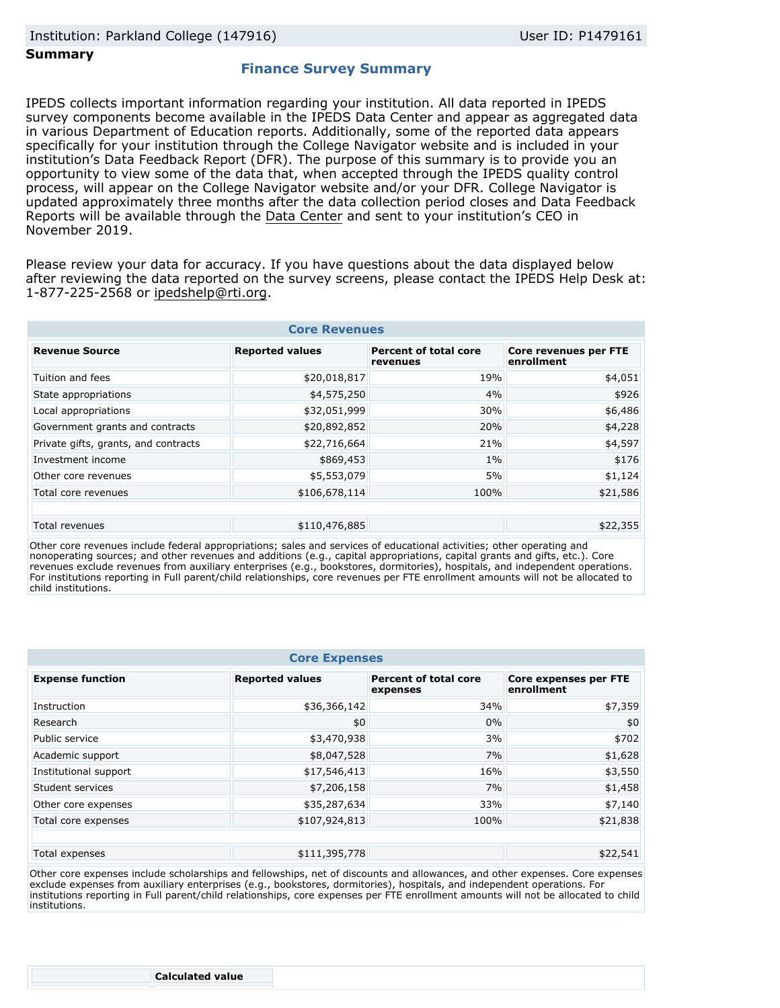### **Summary**

### **Finance Survey Summary**

IPEDS collects important information regarding your institution. All data reported in IPEDS survey components become available in the IPEDS Data Center and appear as aggregated data in various Department of Education reports. Additionally, some of the reported data appears specifically for your institution through the College Navigator website and is included in your institution's Data Feedback Report (DFR). The purpose of this summary is to provide you an opportunity to view some of the data that, when accepted through the IPEDS quality control process, will appear on the College Navigator website and/or your DFR. College Navigator is updated approximately three months after the data collection period closes and Data Feedback Reports will be available through the [Data Center](https://nces.ed.gov/ipeds/use-the-data) and sent to your institution's CEO in November 2019.

Please review your data for accuracy. If you have questions about the data displayed below after reviewing the data reported on the survey screens, please contact the IPEDS Help Desk at: 1-877-225-2568 or ipedshelp@rti.org.

| <b>Core Revenues</b>                                                                                                                      |               |       |          |  |  |  |
|-------------------------------------------------------------------------------------------------------------------------------------------|---------------|-------|----------|--|--|--|
| <b>Reported values</b><br><b>Percent of total core</b><br><b>Core revenues per FTE</b><br><b>Revenue Source</b><br>enrollment<br>revenues |               |       |          |  |  |  |
| Tuition and fees                                                                                                                          | \$20,018,817  | 19%   | \$4,051  |  |  |  |
| State appropriations                                                                                                                      | \$4,575,250   | 4%    | \$926    |  |  |  |
| Local appropriations                                                                                                                      | \$32,051,999  | 30%   | \$6,486  |  |  |  |
| Government grants and contracts                                                                                                           | \$20,892,852  | 20%   | \$4,228  |  |  |  |
| Private gifts, grants, and contracts                                                                                                      | \$22,716,664  | 21%   | \$4,597  |  |  |  |
| Investment income                                                                                                                         | \$869,453     | $1\%$ | \$176    |  |  |  |
| Other core revenues                                                                                                                       | \$5,553,079   | 5%    | \$1,124  |  |  |  |
| Total core revenues                                                                                                                       | \$106,678,114 | 100%  | \$21,586 |  |  |  |
|                                                                                                                                           |               |       |          |  |  |  |
| Total revenues                                                                                                                            | \$110,476,885 |       | \$22,355 |  |  |  |

Other core revenues include federal appropriations; sales and services of educational activities; other operating and nonoperating sources; and other revenues and additions (e.g., capital appropriations, capital grants and gifts, etc.). Core revenues exclude revenues from auxiliary enterprises (e.g., bookstores, dormitories), hospitals, and independent operations. For institutions reporting in Full parent/child relationships, core revenues per FTE enrollment amounts will not be allocated to child institutions.

| <b>Core Expenses</b>    |                        |                                          |                                            |  |  |
|-------------------------|------------------------|------------------------------------------|--------------------------------------------|--|--|
| <b>Expense function</b> | <b>Reported values</b> | <b>Percent of total core</b><br>expenses | <b>Core expenses per FTE</b><br>enrollment |  |  |
| Instruction             | \$36,366,142           | 34%                                      | \$7,359                                    |  |  |
| Research                | \$0                    | 0%                                       | \$0                                        |  |  |
| Public service          | \$3,470,938            | 3%                                       | \$702                                      |  |  |
| Academic support        | \$8,047,528            | 7%                                       | \$1,628                                    |  |  |
| Institutional support   | \$17,546,413           | 16%                                      | \$3,550                                    |  |  |
| Student services        | \$7,206,158            | 7%                                       | \$1,458                                    |  |  |
| Other core expenses     | \$35,287,634           | 33%                                      | \$7,140                                    |  |  |
| Total core expenses     | \$107,924,813          | 100%                                     | \$21,838                                   |  |  |
|                         |                        |                                          |                                            |  |  |
| Total expenses          | \$111,395,778          |                                          | \$22,541                                   |  |  |

Other core expenses include scholarships and fellowships, net of discounts and allowances, and other expenses. Core expenses exclude expenses from auxiliary enterprises (e.g., bookstores, dormitories), hospitals, and independent operations. For institutions reporting in Full parent/child relationships, core expenses per FTE enrollment amounts will not be allocated to child institutions.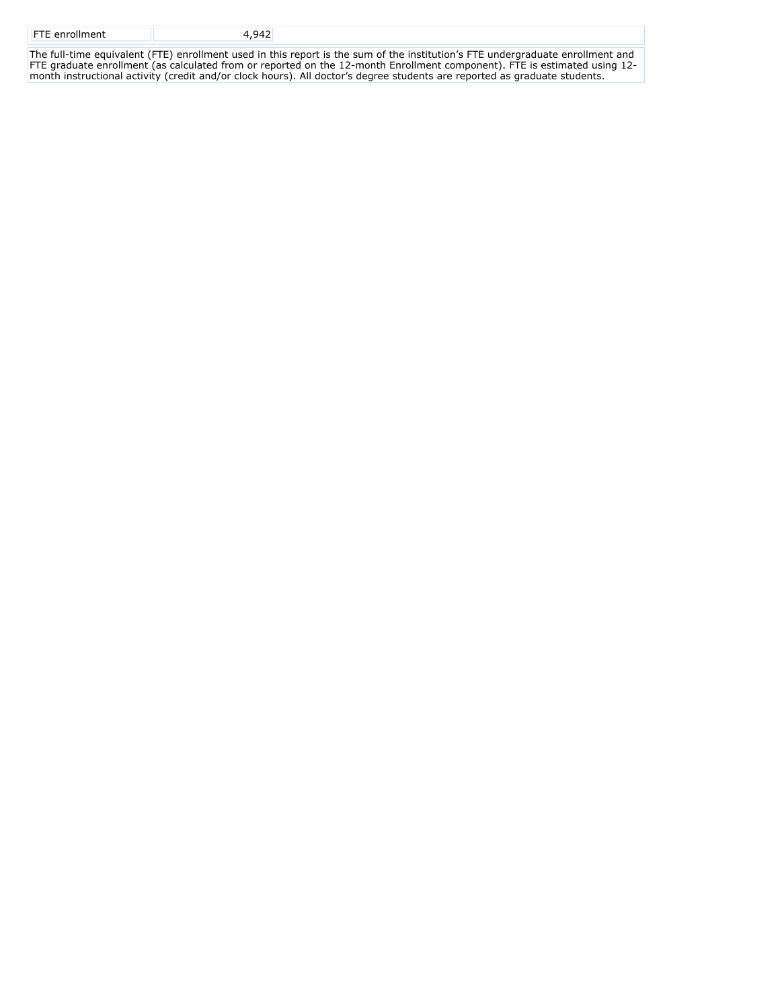| <b>FTE</b> enrollment |  |
|-----------------------|--|
|                       |  |

The full-time equivalent (FTE) enrollment used in this report is the sum of the institution's FTE undergraduate enrollment and FTE graduate enrollment (as calculated from or reported on the 12-month Enrollment component). FTE is estimated using 12 month instructional activity (credit and/or clock hours). All doctor's degree students are reported as graduate students.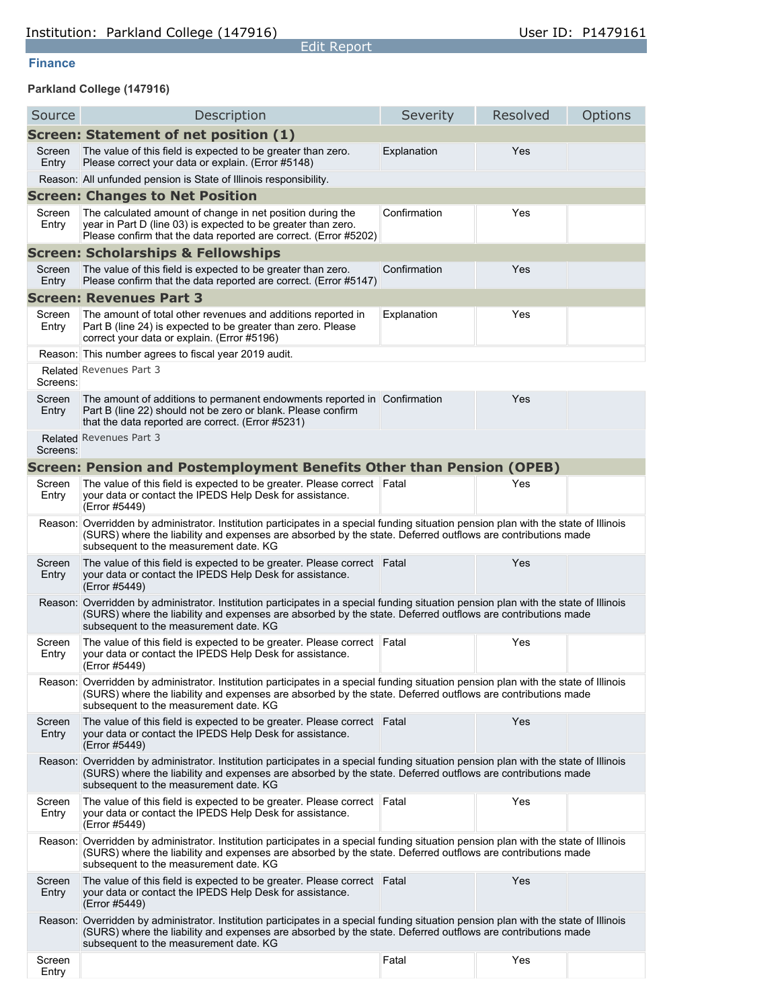### **Finance**

## **Parkland College (147916)**

| Source          | Description                                                                                                                                                                                                                                                                                   | Severity     | Resolved | Options |
|-----------------|-----------------------------------------------------------------------------------------------------------------------------------------------------------------------------------------------------------------------------------------------------------------------------------------------|--------------|----------|---------|
|                 | Screen: Statement of net position (1)                                                                                                                                                                                                                                                         |              |          |         |
| Screen<br>Entry | The value of this field is expected to be greater than zero.<br>Please correct your data or explain. (Error #5148)                                                                                                                                                                            | Explanation  | Yes      |         |
|                 | Reason: All unfunded pension is State of Illinois responsibility.                                                                                                                                                                                                                             |              |          |         |
|                 | <b>Screen: Changes to Net Position</b>                                                                                                                                                                                                                                                        |              |          |         |
| Screen<br>Entry | The calculated amount of change in net position during the<br>year in Part D (line 03) is expected to be greater than zero.<br>Please confirm that the data reported are correct. (Error #5202)                                                                                               | Confirmation | Yes      |         |
|                 | <b>Screen: Scholarships &amp; Fellowships</b>                                                                                                                                                                                                                                                 |              |          |         |
| Screen<br>Entry | The value of this field is expected to be greater than zero.<br>Please confirm that the data reported are correct. (Error #5147)                                                                                                                                                              | Confirmation | Yes      |         |
|                 | <b>Screen: Revenues Part 3</b>                                                                                                                                                                                                                                                                |              |          |         |
| Screen<br>Entry | The amount of total other revenues and additions reported in<br>Part B (line 24) is expected to be greater than zero. Please<br>correct your data or explain. (Error #5196)                                                                                                                   | Explanation  | Yes      |         |
|                 | Reason: This number agrees to fiscal year 2019 audit.                                                                                                                                                                                                                                         |              |          |         |
| Screens:        | Related Revenues Part 3                                                                                                                                                                                                                                                                       |              |          |         |
| Screen<br>Entry | The amount of additions to permanent endowments reported in Confirmation<br>Part B (line 22) should not be zero or blank. Please confirm<br>that the data reported are correct. (Error #5231)                                                                                                 |              | Yes      |         |
| Screens:        | Related Revenues Part 3                                                                                                                                                                                                                                                                       |              |          |         |
|                 | Screen: Pension and Postemployment Benefits Other than Pension (OPEB)                                                                                                                                                                                                                         |              |          |         |
| Screen<br>Entry | The value of this field is expected to be greater. Please correct<br>your data or contact the IPEDS Help Desk for assistance.<br>(Error #5449)                                                                                                                                                | Fatal        | Yes      |         |
|                 | Reason: Overridden by administrator. Institution participates in a special funding situation pension plan with the state of Illinois<br>(SURS) where the liability and expenses are absorbed by the state. Deferred outflows are contributions made<br>subsequent to the measurement date. KG |              |          |         |
| Screen<br>Entry | The value of this field is expected to be greater. Please correct Fatal<br>your data or contact the IPEDS Help Desk for assistance.<br>(Error #5449)                                                                                                                                          |              | Yes      |         |
|                 | Reason: Overridden by administrator. Institution participates in a special funding situation pension plan with the state of Illinois<br>(SURS) where the liability and expenses are absorbed by the state. Deferred outflows are contributions made<br>subsequent to the measurement date. KG |              |          |         |
| Screen<br>Entry | The value of this field is expected to be greater. Please correct<br>your data or contact the IPEDS Help Desk for assistance.<br>(Error #5449)                                                                                                                                                | Fatal        | Yes      |         |
|                 | Reason: Overridden by administrator. Institution participates in a special funding situation pension plan with the state of Illinois<br>(SURS) where the liability and expenses are absorbed by the state. Deferred outflows are contributions made<br>subsequent to the measurement date. KG |              |          |         |
| Screen<br>Entry | The value of this field is expected to be greater. Please correct Fatal<br>your data or contact the IPEDS Help Desk for assistance.<br>(Error #5449)                                                                                                                                          |              | Yes      |         |
|                 | Reason: Overridden by administrator. Institution participates in a special funding situation pension plan with the state of Illinois<br>(SURS) where the liability and expenses are absorbed by the state. Deferred outflows are contributions made<br>subsequent to the measurement date. KG |              |          |         |
| Screen<br>Entry | The value of this field is expected to be greater. Please correct Fatal<br>your data or contact the IPEDS Help Desk for assistance.<br>(Error #5449)                                                                                                                                          |              | Yes      |         |
|                 | Reason: Overridden by administrator. Institution participates in a special funding situation pension plan with the state of Illinois<br>(SURS) where the liability and expenses are absorbed by the state. Deferred outflows are contributions made<br>subsequent to the measurement date. KG |              |          |         |
| Screen<br>Entry | The value of this field is expected to be greater. Please correct<br>your data or contact the IPEDS Help Desk for assistance.<br>(Error #5449)                                                                                                                                                | Fatal        | Yes      |         |
|                 | Reason: Overridden by administrator. Institution participates in a special funding situation pension plan with the state of Illinois<br>(SURS) where the liability and expenses are absorbed by the state. Deferred outflows are contributions made<br>subsequent to the measurement date. KG |              |          |         |
| Screen<br>Entry |                                                                                                                                                                                                                                                                                               | Fatal        | Yes      |         |